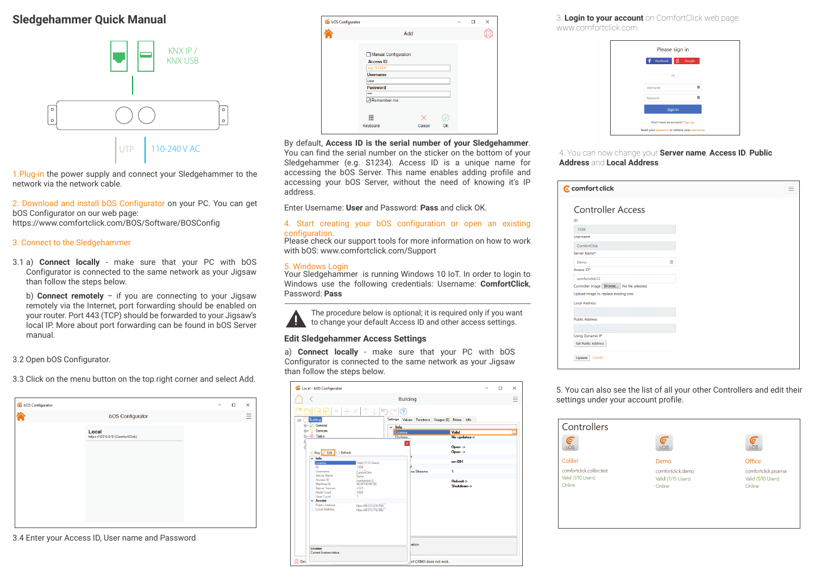## **Sledgehammer Quick Manual**



1.Plug-in the power supply and connect your Sledgehammer to the network via the network cable.

2. Download and install bOS Configurator on your PC. You can get bOS Configurator on our web page: https://www.comfortclick.com/BOS/Software/BOSConfig

#### 3. Connect to the Sledgehammer

3.1 a) **Connect locally** - make sure that your PC with bOS Configurator is connected to the same network as your Jigsaw than follow the steps below.

b) **Connect remotely** – if you are connecting to your Jigsaw remotely via the Internet, port forwarding should be enabled on your router. Port 443 (TCP) should be forwarded to your Jigsaw's local IP. More about port forwarding can be found in bOS Server manual.

#### 3.2 Open bOS Configurator.

3.3 Click on the menu button on the top right corner and select Add.

| <b>bOS Configurator</b>                    |  | - |
|--------------------------------------------|--|---|
| Local<br>https://127.0.0.1/ (ComfortClick) |  |   |
|                                            |  |   |
|                                            |  |   |

3.4 Enter your Access ID, User name and Password

| bOS Configurator |                                                                                                                                                  |     |        |    | п | × |
|------------------|--------------------------------------------------------------------------------------------------------------------------------------------------|-----|--------|----|---|---|
|                  |                                                                                                                                                  | Add |        |    |   |   |
|                  | Manual Configuration<br><b>Access ID</b><br>e.g. "S1234"<br><b>Username</b><br>User<br>Password<br><b>SHAR</b><br>Remember me<br>888<br>Keyboard |     | Cancel | OK |   |   |
|                  |                                                                                                                                                  |     |        |    |   |   |

By default, **Access ID is the serial number of your Sledgehammer**. You can find the serial number on the sticker on the bottom of your Sledgehammer (e.g. S1234). Access ID is a unique name for accessing the bOS Server. This name enables adding profile and accessing your bOS Server, without the need of knowing it's IP address.

Enter Username: **User** and Password: **Pass** and click OK.

#### 4. Start creating your bOS configuration or open an existing configuration.

Please check our support tools for more information on how to work with bOS: www.comfortclick.com/Support

#### 5. Windows Login

Your Sledgehammer is running Windows 10 IoT. In order to login to Windows use the following credentials: Username: **ComfortClick**, Password: **Pass**

The procedure below is optional; it is required only if you want to change your default Access ID and other access settings.

#### **Edit Sledgehammer Access Settings**

a) **Connect locally** - make sure that your PC with bOS Configurator is connected to the same network as your Jigsaw than follow the steps below.

| Co-Local - bOS Configurator                          |                         |                                                 |                                          | $\Box$ | $\times$ |
|------------------------------------------------------|-------------------------|-------------------------------------------------|------------------------------------------|--------|----------|
| €                                                    |                         | <b>Building</b>                                 |                                          |        |          |
|                                                      | … 十 X 不 ↓ り (~)         | ಌ                                               |                                          |        |          |
| <b>Building</b><br>$\boxminus$<br><b>E-% General</b> |                         | Settings Values Functions Usages (6) Notes Info |                                          |        |          |
| Devices<br>田…                                        | $\vee$ Info             | License                                         | Valid                                    |        | $\cdots$ |
| <b>ம்---</b> Tasks                                   |                         | <b>U</b> ndates                                 | No updates->                             |        |          |
| ٩<br>Buy <i>Leff</i> C Refresh                       |                         | $\mathbf{x}$                                    | Open $\rightarrow$<br>$Open \rightarrow$ |        |          |
| $\vee$ Info<br>License                               | Valid (7/13 Users)      |                                                 | $en-001$                                 |        |          |
| ID                                                   | 1308                    |                                                 |                                          |        |          |
| Username                                             | ComfortClick            | <b>Ira Streams</b>                              | 1                                        |        |          |
| Server Name                                          | Demo                    |                                                 |                                          |        |          |
| Access ID                                            | comfortclick12          |                                                 | Reboot->                                 |        |          |
| Machine ID                                           | <b>BC5FF431B78E</b>     |                                                 | Shutdown->                               |        |          |
| <b>Server Version</b>                                | 4.5.0                   |                                                 |                                          |        |          |
| Node Count                                           | 5304                    |                                                 |                                          |        |          |
| <b>Hiser Count</b>                                   | 7                       |                                                 |                                          |        |          |
| $\vee$ Access                                        |                         |                                                 |                                          |        |          |
| Public Address                                       | https://89.212.218.766/ |                                                 |                                          |        |          |
| <b>Local Address</b>                                 | https://89.212.118.366/ |                                                 |                                          |        |          |
|                                                      |                         | lation.                                         |                                          |        |          |
| License<br>Current license status.                   |                         |                                                 |                                          |        |          |
| Dev                                                  |                         | art COM3 does not exist.                        |                                          |        |          |

3. **Login to your account** on ComfortClick web page www.comfortclick.com

| 置                               |
|---------------------------------|
| 罡                               |
|                                 |
| Don't have an account? Sign up. |
|                                 |

#### 4. You can now change your **Server name**, **Access ID**, **Public Address** and **Local Address**.

| C comfort click                           |   |
|-------------------------------------------|---|
| <b>Controller Access</b>                  |   |
| ID                                        |   |
| 1308                                      |   |
| Username                                  |   |
| ComfortClick                              |   |
| Server Name*                              |   |
| Demo                                      | ⊕ |
| Access ID*                                |   |
| comfortclick12                            |   |
| Controller image Browse No file selected. |   |
| Upload image to replace existing one.     |   |
| <b>Local Address</b>                      |   |
|                                           |   |
| <b>Public Address</b>                     |   |
|                                           |   |
| <b>Using Dynamic IP</b>                   |   |
| <b>Set Public Address</b>                 |   |
| Cancel<br>Update                          |   |
|                                           |   |

5. You can also see the list of all your other Controllers and edit their settings under your account profile.

| Controllers<br>⋐<br>bOS   | O<br>bOS           | E<br>bOS             |
|---------------------------|--------------------|----------------------|
| Colibri                   | Demo               | Office               |
| comfortclick colibri test | comfortclick.demo  | comfortclick.pisarna |
| Valid (1/10 Users)        | Valid (7/15 Users) | Valid (1/10 Users)   |
| Online                    | Online             | Online               |